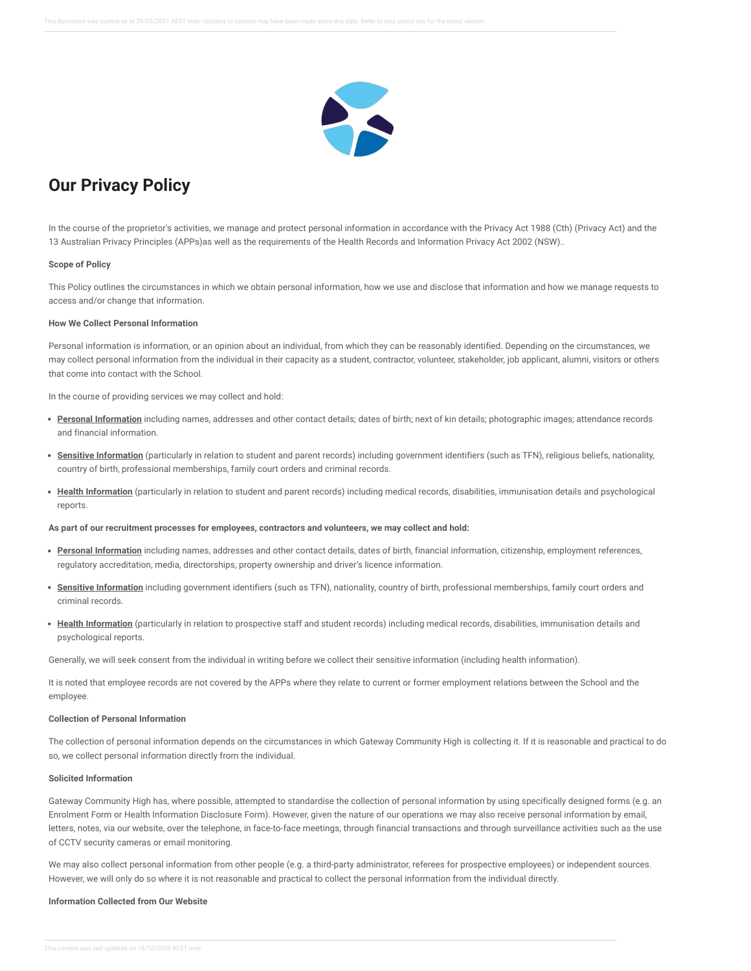

# **Our Privacy Policy**

In the course of the proprietor's activities, we manage and protect personal information in accordance with the Privacy Act 1988 (Cth) (Privacy Act) and the 13 Australian Privacy Principles (APPs)as well as the requirements of the Health Records and Information Privacy Act 2002 (NSW)..

#### **Scope of Policy**

This Policy outlines the circumstances in which we obtain personal information, how we use and disclose that information and how we manage requests to access and/or change that information.

# **How We Collect Personal Information**

Personal information is information, or an opinion about an individual, from which they can be reasonably identified. Depending on the circumstances, we may collect personal information from the individual in their capacity as a student, contractor, volunteer, stakeholder, job applicant, alumni, visitors or others that come into contact with the School.

In the course of providing services we may collect and hold:

- **Personal Information** including names, addresses and other contact details; dates of birth; next of kin details; photographic images; attendance records and financial information.
- **Sensitive Information** (particularly in relation to student and parent records) including government identifiers (such as TFN), religious beliefs, nationality, country of birth, professional memberships, family court orders and criminal records.
- **Health Information** (particularly in relation to student and parent records) including medical records, disabilities, immunisation details and psychological reports.

#### **As part of our recruitment processes for employees, contractors and volunteers, we may collect and hold:**

- **Personal Information** including names, addresses and other contact details, dates of birth, financial information, citizenship, employment references, regulatory accreditation, media, directorships, property ownership and driver's licence information.
- **Sensitive Information** including government identifiers (such as TFN), nationality, country of birth, professional memberships, family court orders and criminal records.
- **Health Information** (particularly in relation to prospective staff and student records) including medical records, disabilities, immunisation details and psychological reports.

Generally, we will seek consent from the individual in writing before we collect their sensitive information (including health information).

It is noted that employee records are not covered by the APPs where they relate to current or former employment relations between the School and the employee.

# **Collection of Personal Information**

The collection of personal information depends on the circumstances in which Gateway Community High is collecting it. If it is reasonable and practical to do so, we collect personal information directly from the individual.

#### **Solicited Information**

Gateway Community High has, where possible, attempted to standardise the collection of personal information by using specifically designed forms (e.g. an Enrolment Form or Health Information Disclosure Form). However, given the nature of our operations we may also receive personal information by email, letters, notes, via our website, over the telephone, in face-to-face meetings, through financial transactions and through surveillance activities such as the use of CCTV security cameras or email monitoring.

We may also collect personal information from other people (e.g. a third-party administrator, referees for prospective employees) or independent sources. However, we will only do so where it is not reasonable and practical to collect the personal information from the individual directly.

## **Information Collected from Our Website**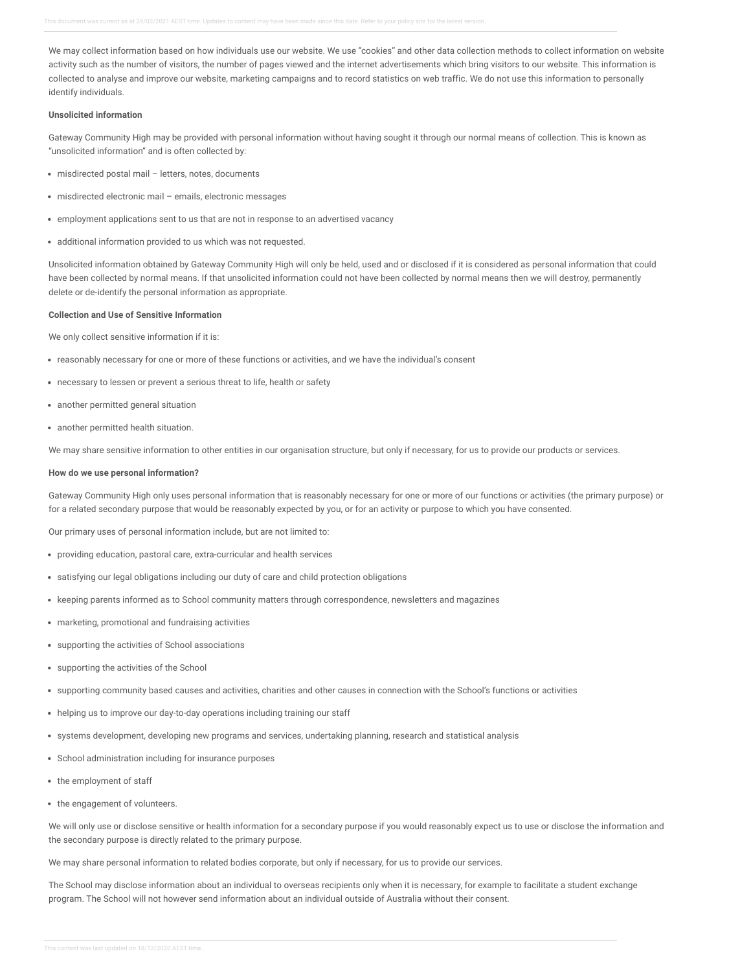We may collect information based on how individuals use our website. We use "cookies" and other data collection methods to collect information on website activity such as the number of visitors, the number of pages viewed and the internet advertisements which bring visitors to our website. This information is collected to analyse and improve our website, marketing campaigns and to record statistics on web traffic. We do not use this information to personally identify individuals.

# **Unsolicited information**

Gateway Community High may be provided with personal information without having sought it through our normal means of collection. This is known as "unsolicited information" and is often collected by:

- misdirected postal mail letters, notes, documents
- misdirected electronic mail emails, electronic messages
- employment applications sent to us that are not in response to an advertised vacancy
- additional information provided to us which was not requested.

Unsolicited information obtained by Gateway Community High will only be held, used and or disclosed if it is considered as personal information that could have been collected by normal means. If that unsolicited information could not have been collected by normal means then we will destroy, permanently delete or de-identify the personal information as appropriate.

## **Collection and Use of Sensitive Information**

We only collect sensitive information if it is:

- reasonably necessary for one or more of these functions or activities, and we have the individual's consent
- necessary to lessen or prevent a serious threat to life, health or safety
- another permitted general situation
- another permitted health situation.

We may share sensitive information to other entities in our organisation structure, but only if necessary, for us to provide our products or services.

## **How do we use personal information?**

Gateway Community High only uses personal information that is reasonably necessary for one or more of our functions or activities (the primary purpose) or for a related secondary purpose that would be reasonably expected by you, or for an activity or purpose to which you have consented.

Our primary uses of personal information include, but are not limited to:

- providing education, pastoral care, extra-curricular and health services
- satisfying our legal obligations including our duty of care and child protection obligations
- keeping parents informed as to School community matters through correspondence, newsletters and magazines
- marketing, promotional and fundraising activities
- supporting the activities of School associations
- supporting the activities of the School
- supporting community based causes and activities, charities and other causes in connection with the School's functions or activities
- helping us to improve our day-to-day operations including training our staff
- systems development, developing new programs and services, undertaking planning, research and statistical analysis
- School administration including for insurance purposes
- the employment of staff
- the engagement of volunteers.

We will only use or disclose sensitive or health information for a secondary purpose if you would reasonably expect us to use or disclose the information and the secondary purpose is directly related to the primary purpose.

We may share personal information to related bodies corporate, but only if necessary, for us to provide our services.

The School may disclose information about an individual to overseas recipients only when it is necessary, for example to facilitate a student exchange program. The School will not however send information about an individual outside of Australia without their consent.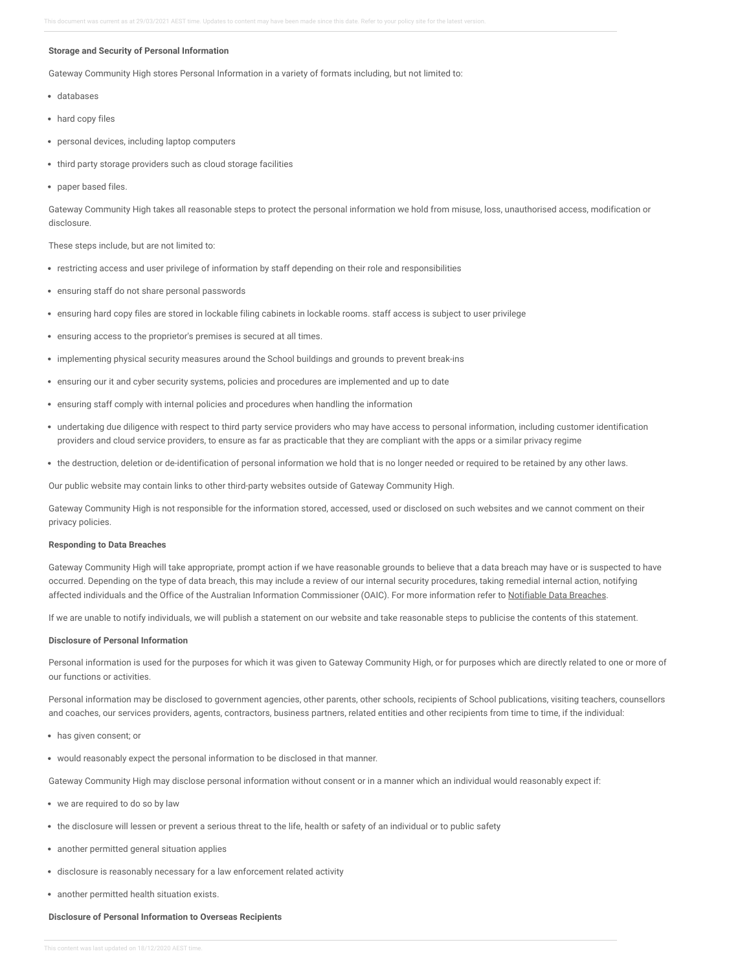#### **Storage and Security of Personal Information**

Gateway Community High stores Personal Information in a variety of formats including, but not limited to:

- databases
- hard copy files
- personal devices, including laptop computers
- third party storage providers such as cloud storage facilities
- paper based files.

Gateway Community High takes all reasonable steps to protect the personal information we hold from misuse, loss, unauthorised access, modification or disclosure.

These steps include, but are not limited to:

- restricting access and user privilege of information by staff depending on their role and responsibilities
- ensuring staff do not share personal passwords
- ensuring hard copy files are stored in lockable filing cabinets in lockable rooms. staff access is subject to user privilege
- ensuring access to the proprietor's premises is secured at all times.
- implementing physical security measures around the School buildings and grounds to prevent break-ins
- ensuring our it and cyber security systems, policies and procedures are implemented and up to date
- ensuring staff comply with internal policies and procedures when handling the information
- undertaking due diligence with respect to third party service providers who may have access to personal information, including customer identification providers and cloud service providers, to ensure as far as practicable that they are compliant with the apps or a similar privacy regime
- the destruction, deletion or de-identification of personal information we hold that is no longer needed or required to be retained by any other laws.

Our public website may contain links to other third-party websites outside of Gateway Community High.

Gateway Community High is not responsible for the information stored, accessed, used or disclosed on such websites and we cannot comment on their privacy policies.

### **Responding to Data Breaches**

Gateway Community High will take appropriate, prompt action if we have reasonable grounds to believe that a data breach may have or is suspected to have occurred. Depending on the type of data breach, this may include a review of our internal security procedures, taking remedial internal action, notifying affected individuals and the Office of the Australian Information Commissioner (OAIC). For more information refer to [Notifiable](https://gatewaycommunityhigh.policyconnect.com.au/module/48/page/c952656f-e9e6-40f2-87a6-581f0a4696de.md) Data Breaches.

If we are unable to notify individuals, we will publish a statement on our website and take reasonable steps to publicise the contents of this statement.

#### **Disclosure of Personal Information**

Personal information is used for the purposes for which it was given to Gateway Community High, or for purposes which are directly related to one or more of our functions or activities.

Personal information may be disclosed to government agencies, other parents, other schools, recipients of School publications, visiting teachers, counsellors and coaches, our services providers, agents, contractors, business partners, related entities and other recipients from time to time, if the individual:

- has given consent; or
- would reasonably expect the personal information to be disclosed in that manner.

Gateway Community High may disclose personal information without consent or in a manner which an individual would reasonably expect if:

- we are required to do so by law
- the disclosure will lessen or prevent a serious threat to the life, health or safety of an individual or to public safety
- another permitted general situation applies
- disclosure is reasonably necessary for a law enforcement related activity
- another permitted health situation exists.

# **Disclosure of Personal Information to Overseas Recipients**